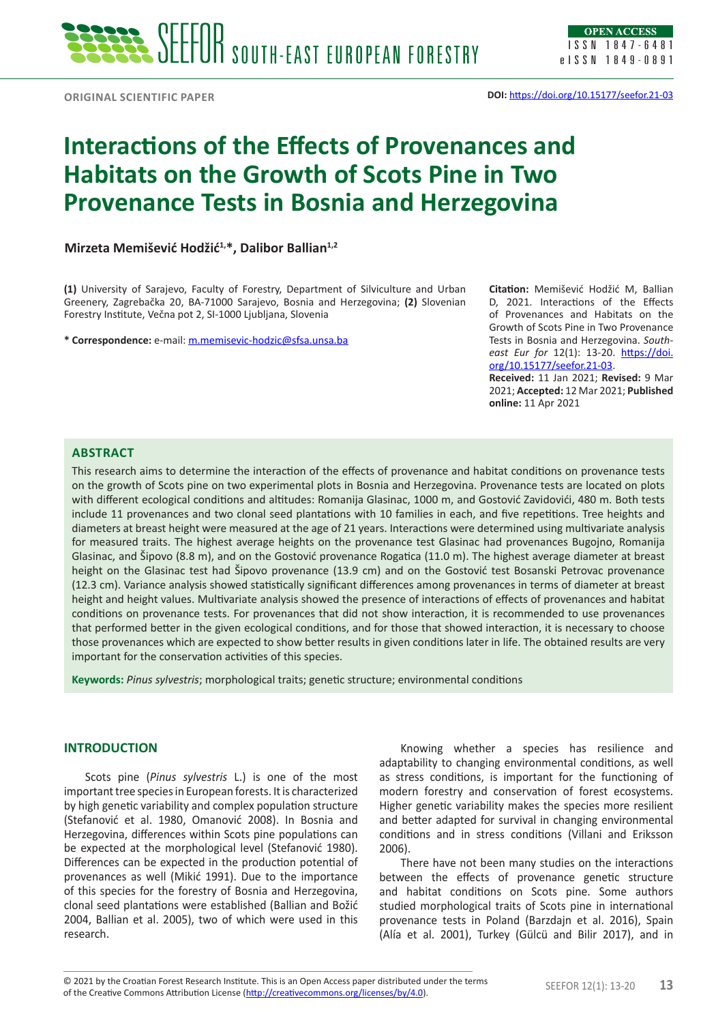# **Interactions of the Effects of Provenances and Habitats on the Growth of Scots Pine in Two Provenance Tests in Bosnia and Herzegovina**

**Mirzeta Memišević Hodžić1,\*, Dalibor Ballian1,2**

**(1)** University of Sarajevo, Faculty of Forestry, Department of Silviculture and Urban Greenery, Zagrebačka 20, BA-71000 Sarajevo, Bosnia and Herzegovina; **(2)** Slovenian Forestry Institute, Večna pot 2, SI-1000 Ljubljana, Slovenia

**\* Correspondence:** e-mail: [m.memisevic-hodzic@](mailto:m.memisevic-hodzic@)sfsa.unsa.ba

**Citation:** Memišević Hodžić M, Ballian D, 2021. Interactions of the Effects of Provenances and Habitats on the Growth of Scots Pine in Two Provenance Tests in Bosnia and Herzegovina. *Southeast Eur for* 12(1): 13-20. [https://doi.](https://doi.org/10.15177/seefor.21-03) [org/10.15177/seefor.21-03](https://doi.org/10.15177/seefor.21-03). **Received:** 11 Jan 2021; **Revised:** 9 Mar

2021; **Accepted:** 12 Mar 2021; **Published online:** 11 Apr 2021

#### **ABSTRACT**

This research aims to determine the interaction of the effects of provenance and habitat conditions on provenance tests on the growth of Scots pine on two experimental plots in Bosnia and Herzegovina. Provenance tests are located on plots with different ecological conditions and altitudes: Romanija Glasinac, 1000 m, and Gostović Zavidovići, 480 m. Both tests include 11 provenances and two clonal seed plantations with 10 families in each, and five repetitions. Tree heights and diameters at breast height were measured at the age of 21 years. Interactions were determined using multivariate analysis for measured traits. The highest average heights on the provenance test Glasinac had provenances Bugojno, Romanija Glasinac, and Šipovo (8.8 m), and on the Gostović provenance Rogatica (11.0 m). The highest average diameter at breast height on the Glasinac test had Šipovo provenance (13.9 cm) and on the Gostović test Bosanski Petrovac provenance (12.3 cm). Variance analysis showed statistically significant differences among provenances in terms of diameter at breast height and height values. Multivariate analysis showed the presence of interactions of effects of provenances and habitat conditions on provenance tests. For provenances that did not show interaction, it is recommended to use provenances that performed better in the given ecological conditions, and for those that showed interaction, it is necessary to choose those provenances which are expected to show better results in given conditions later in life. The obtained results are very important for the conservation activities of this species.

**Keywords:** *Pinus sylvestris*; morphological traits; genetic structure; environmental conditions

#### **INTRODUCTION**

Scots pine (*Pinus sylvestris* L.) is one of the most important tree species in European forests. It is characterized by high genetic variability and complex population structure (Stefanović et al. 1980, Omanović 2008). In Bosnia and Herzegovina, differences within Scots pine populations can be expected at the morphological level (Stefanović 1980). Differences can be expected in the production potential of provenances as well (Mikić 1991). Due to the importance of this species for the forestry of Bosnia and Herzegovina, clonal seed plantations were established (Ballian and Božić 2004, Ballian et al. 2005), two of which were used in this research.

Knowing whether a species has resilience and adaptability to changing environmental conditions, as well as stress conditions, is important for the functioning of modern forestry and conservation of forest ecosystems. Higher genetic variability makes the species more resilient and better adapted for survival in changing environmental conditions and in stress conditions (Villani and Eriksson 2006).

There have not been many studies on the interactions between the effects of provenance genetic structure and habitat conditions on Scots pine. Some authors studied morphological traits of Scots pine in international provenance tests in Poland (Barzdajn et al. 2016), Spain (Alía et al. 2001), Turkey (Gülcü and Bilir 2017), and in

© 2021 by the Croatian Forest Research Institute. This is an Open Access paper distributed under the terms<br>of the Creative Commons Attribution License (<u><http://creativecommons.org/licenses/by/4.0></u>). © 2021 by the Croatian Forest Research Institute. This is an Open Access paper distributed under the terms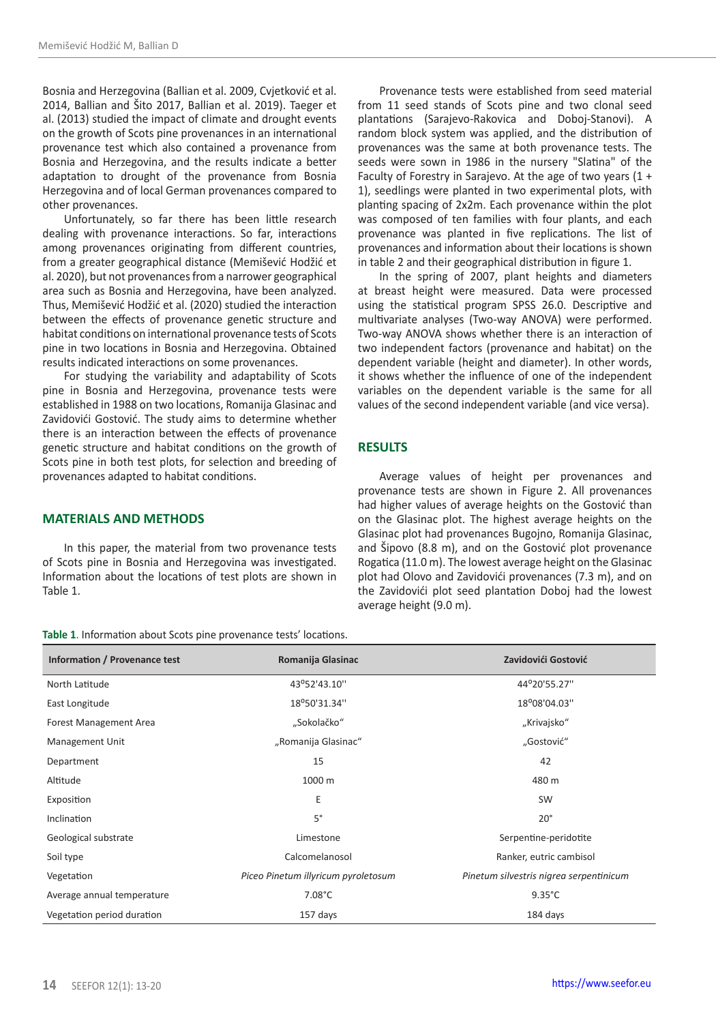Bosnia and Herzegovina (Ballian et al. 2009, Cvjetković et al. 2014, Ballian and Šito 2017, Ballian et al. 2019). Taeger et al. (2013) studied the impact of climate and drought events on the growth of Scots pine provenances in an international provenance test which also contained a provenance from Bosnia and Herzegovina, and the results indicate a better adaptation to drought of the provenance from Bosnia Herzegovina and of local German provenances compared to other provenances.

Unfortunately, so far there has been little research dealing with provenance interactions. So far, interactions among provenances originating from different countries, from a greater geographical distance (Memišević Hodžić et al. 2020), but not provenances from a narrower geographical area such as Bosnia and Herzegovina, have been analyzed. Thus, Memišević Hodžić et al. (2020) studied the interaction between the effects of provenance genetic structure and habitat conditions on international provenance tests of Scots pine in two locations in Bosnia and Herzegovina. Obtained results indicated interactions on some provenances.

For studying the variability and adaptability of Scots pine in Bosnia and Herzegovina, provenance tests were established in 1988 on two locations, Romanija Glasinac and Zavidovići Gostović. The study aims to determine whether there is an interaction between the effects of provenance genetic structure and habitat conditions on the growth of Scots pine in both test plots, for selection and breeding of provenances adapted to habitat conditions.

## **MATERIALS AND METHODS**

In this paper, the material from two provenance tests of Scots pine in Bosnia and Herzegovina was investigated. Information about the locations of test plots are shown in Table 1.

**Table 1**. Information about Scots pine provenance tests' locations.

Provenance tests were established from seed material from 11 seed stands of Scots pine and two clonal seed plantations (Sarajevo-Rakovica and Doboj-Stanovi). A random block system was applied, and the distribution of provenances was the same at both provenance tests. The seeds were sown in 1986 in the nursery "Slatina" of the Faculty of Forestry in Sarajevo. At the age of two years (1 + 1), seedlings were planted in two experimental plots, with planting spacing of 2x2m. Each provenance within the plot was composed of ten families with four plants, and each provenance was planted in five replications. The list of provenances and information about their locations is shown in table 2 and their geographical distribution in figure 1.

In the spring of 2007, plant heights and diameters at breast height were measured. Data were processed using the statistical program SPSS 26.0. Descriptive and multivariate analyses (Two-way ANOVA) were performed. Two-way ANOVA shows whether there is an interaction of two independent factors (provenance and habitat) on the dependent variable (height and diameter). In other words, it shows whether the influence of one of the independent variables on the dependent variable is the same for all values of the second independent variable (and vice versa).

# **RESULTS**

Average values of height per provenances and provenance tests are shown in Figure 2. All provenances had higher values of average heights on the Gostović than on the Glasinac plot. The highest average heights on the Glasinac plot had provenances Bugojno, Romanija Glasinac, and Šipovo (8.8 m), and on the Gostović plot provenance Rogatica (11.0 m). The lowest average height on the Glasinac plot had Olovo and Zavidovići provenances (7.3 m), and on the Zavidovići plot seed plantation Doboj had the lowest average height (9.0 m).

| Information / Provenance test | Romanija Glasinac                   | Zavidovići Gostović                     |
|-------------------------------|-------------------------------------|-----------------------------------------|
| North Latitude                | 43°52'43.10"                        | 44°20'55.27"                            |
| East Longitude                | 18°50'31.34"                        | 18°08'04.03"                            |
| Forest Management Area        | "Sokolačko"                         | "Krivajsko"                             |
| Management Unit               | "Romanija Glasinac"                 | "Gostović"                              |
| Department                    | 15                                  | 42                                      |
| Altitude                      | 1000 m                              | 480 m                                   |
| Exposition                    | Ε                                   | <b>SW</b>                               |
| Inclination                   | $5^{\circ}$                         | $20^{\circ}$                            |
| Geological substrate          | Limestone                           | Serpentine-peridotite                   |
| Soil type                     | Calcomelanosol                      | Ranker, eutric cambisol                 |
| Vegetation                    | Piceo Pinetum illyricum pyroletosum | Pinetum silvestris nigrea serpentinicum |
| Average annual temperature    | $7.08^{\circ}$ C                    | $9.35^{\circ}$ C                        |
| Vegetation period duration    | 157 days                            | 184 days                                |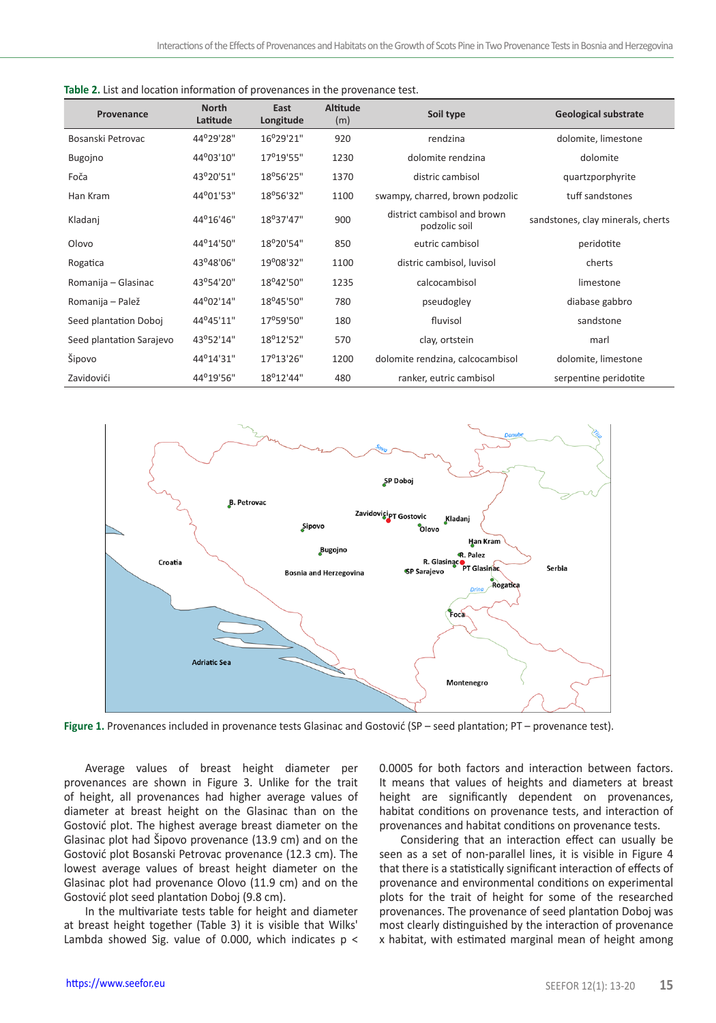| Provenance               | <b>North</b><br>Latitude | East<br>Longitude | <b>Altitude</b><br>(m) | Soil type                                    | <b>Geological substrate</b>       |
|--------------------------|--------------------------|-------------------|------------------------|----------------------------------------------|-----------------------------------|
| Bosanski Petrovac        | 44°29'28"                | 16°29'21"         | 920                    | rendzina                                     | dolomite, limestone               |
| Bugojno                  | 44°03'10"                | 17°19'55"         | 1230                   | dolomite rendzina                            | dolomite                          |
| Foča                     | 43°20'51"                | 18°56'25"         | 1370                   | distric cambisol                             | quartzporphyrite                  |
| Han Kram                 | 44°01'53"                | 18°56'32"         | 1100                   | swampy, charred, brown podzolic              | tuff sandstones                   |
| Kladanj                  | 44°16'46"                | 18°37'47"         | 900                    | district cambisol and brown<br>podzolic soil | sandstones, clay minerals, cherts |
| Olovo                    | 44°14'50"                | 18°20'54"         | 850                    | eutric cambisol                              | peridotite                        |
| Rogatica                 | 43°48'06"                | 19°08'32"         | 1100                   | distric cambisol, luvisol                    | cherts                            |
| Romanija - Glasinac      | 43°54'20"                | 18°42'50"         | 1235                   | calcocambisol                                | limestone                         |
| Romanija – Palež         | 44°02'14"                | 18°45'50"         | 780                    | pseudogley                                   | diabase gabbro                    |
| Seed plantation Doboj    | 44°45'11"                | 17°59'50"         | 180                    | fluvisol                                     | sandstone                         |
| Seed plantation Sarajevo | 43°52'14"                | 18°12'52"         | 570                    | clay, ortstein                               | marl                              |
| Šipovo                   | 44°14'31"                | 17°13'26"         | 1200                   | dolomite rendzina, calcocambisol             | dolomite, limestone               |
| Zavidovići               | 44°19'56"                | 18°12'44"         | 480                    | ranker, eutric cambisol                      | serpentine peridotite             |

| <b>Table 2.</b> List and location information of provenances in the provenance test. |
|--------------------------------------------------------------------------------------|
|--------------------------------------------------------------------------------------|



**Figure 1.** Provenances included in provenance tests Glasinac and Gostović (SP – seed plantation; PT – provenance test).

Average values of breast height diameter per provenances are shown in Figure 3. Unlike for the trait of height, all provenances had higher average values of diameter at breast height on the Glasinac than on the Gostović plot. The highest average breast diameter on the Glasinac plot had Šipovo provenance (13.9 cm) and on the Gostović plot Bosanski Petrovac provenance (12.3 cm). The lowest average values of breast height diameter on the Glasinac plot had provenance Olovo (11.9 cm) and on the Gostović plot seed plantation Doboj (9.8 cm).

In the multivariate tests table for height and diameter at breast height together (Table 3) it is visible that Wilks' Lambda showed Sig. value of 0.000, which indicates  $p <$  0.0005 for both factors and interaction between factors. It means that values of heights and diameters at breast height are significantly dependent on provenances, habitat conditions on provenance tests, and interaction of provenances and habitat conditions on provenance tests.

Considering that an interaction effect can usually be seen as a set of non-parallel lines, it is visible in Figure 4 that there is a statistically significant interaction of effects of provenance and environmental conditions on experimental plots for the trait of height for some of the researched provenances. The provenance of seed plantation Doboj was most clearly distinguished by the interaction of provenance x habitat, with estimated marginal mean of height among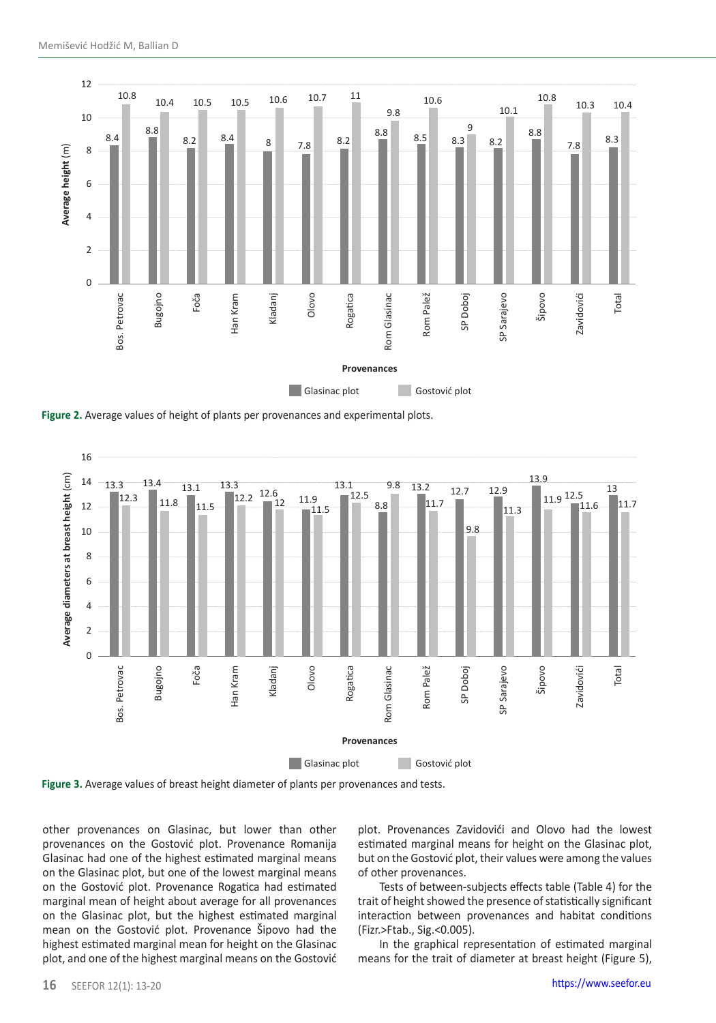

**Figure 2.** Average values of height of plants per provenances and experimental plots.



**Figure 3.** Average values of breast height diameter of plants per provenances and tests.

other provenances on Glasinac, but lower than other provenances on the Gostović plot. Provenance Romanija Glasinac had one of the highest estimated marginal means on the Glasinac plot, but one of the lowest marginal means on the Gostović plot. Provenance Rogatica had estimated marginal mean of height about average for all provenances on the Glasinac plot, but the highest estimated marginal mean on the Gostović plot. Provenance Šipovo had the highest estimated marginal mean for height on the Glasinac plot, and one of the highest marginal means on the Gostović

plot. Provenances Zavidovići and Olovo had the lowest estimated marginal means for height on the Glasinac plot, but on the Gostović plot, their values were among the values of other provenances.

Tests of between-subjects effects table (Table 4) for the trait of height showed the presence of statistically significant interaction between provenances and habitat conditions (Fizr.>Ftab., Sig.<0.005).

In the graphical representation of estimated marginal means for the trait of diameter at breast height (Figure 5),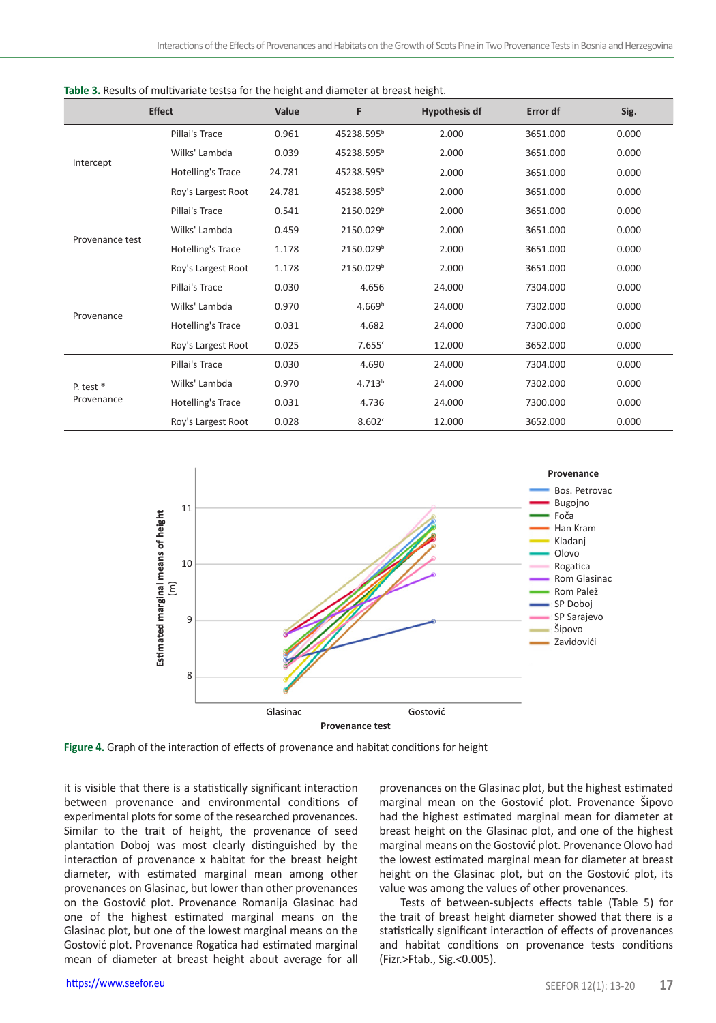|                 | <b>Effect</b>      | Value  | F                      | <b>Hypothesis df</b> | Error df | Sig.  |
|-----------------|--------------------|--------|------------------------|----------------------|----------|-------|
|                 | Pillai's Trace     | 0.961  | 45238.595 <sup>b</sup> | 2.000                | 3651.000 | 0.000 |
|                 | Wilks' Lambda      | 0.039  | 45238.595 <sup>b</sup> | 2.000                | 3651.000 | 0.000 |
| Intercept       | Hotelling's Trace  | 24.781 | 45238.595 <sup>b</sup> | 2.000                | 3651.000 | 0.000 |
|                 | Roy's Largest Root | 24.781 | 45238.595 <sup>b</sup> | 2.000                | 3651.000 | 0.000 |
|                 | Pillai's Trace     | 0.541  | 2150.029 <sup>b</sup>  | 2.000                | 3651.000 | 0.000 |
|                 | Wilks' Lambda      | 0.459  | 2150.029 <sup>b</sup>  | 2.000                | 3651.000 | 0.000 |
| Provenance test | Hotelling's Trace  | 1.178  | 2150.029 <sup>b</sup>  | 2.000                | 3651.000 | 0.000 |
|                 | Roy's Largest Root | 1.178  | 2150.029 <sup>b</sup>  | 2.000                | 3651.000 | 0.000 |
|                 | Pillai's Trace     | 0.030  | 4.656                  | 24.000               | 7304.000 | 0.000 |
| Provenance      | Wilks' Lambda      | 0.970  | 4.669 <sup>b</sup>     | 24.000               | 7302.000 | 0.000 |
|                 | Hotelling's Trace  | 0.031  | 4.682                  | 24.000               | 7300.000 | 0.000 |
|                 | Roy's Largest Root | 0.025  | 7.655c                 | 12.000               | 3652.000 | 0.000 |
|                 | Pillai's Trace     | 0.030  | 4.690                  | 24.000               | 7304.000 | 0.000 |
| P. test $*$     | Wilks' Lambda      | 0.970  | 4.713 <sup>b</sup>     | 24.000               | 7302.000 | 0.000 |
| Provenance      | Hotelling's Trace  | 0.031  | 4.736                  | 24.000               | 7300.000 | 0.000 |
|                 | Roy's Largest Root | 0.028  | 8.602c                 | 12.000               | 3652.000 | 0.000 |





**Figure 4.** Graph of the interaction of effects of provenance and habitat conditions for height

it is visible that there is a statistically significant interaction between provenance and environmental conditions of experimental plots for some of the researched provenances. Similar to the trait of height, the provenance of seed plantation Doboj was most clearly distinguished by the interaction of provenance x habitat for the breast height diameter, with estimated marginal mean among other provenances on Glasinac, but lower than other provenances on the Gostović plot. Provenance Romanija Glasinac had one of the highest estimated marginal means on the Glasinac plot, but one of the lowest marginal means on the Gostović plot. Provenance Rogatica had estimated marginal mean of diameter at breast height about average for all

provenances on the Glasinac plot, but the highest estimated marginal mean on the Gostović plot. Provenance Šipovo had the highest estimated marginal mean for diameter at breast height on the Glasinac plot, and one of the highest marginal means on the Gostović plot. Provenance Olovo had the lowest estimated marginal mean for diameter at breast height on the Glasinac plot, but on the Gostović plot, its value was among the values of other provenances.

Tests of between-subjects effects table (Table 5) for the trait of breast height diameter showed that there is a statistically significant interaction of effects of provenances and habitat conditions on provenance tests conditions (Fizr.>Ftab., Sig.<0.005).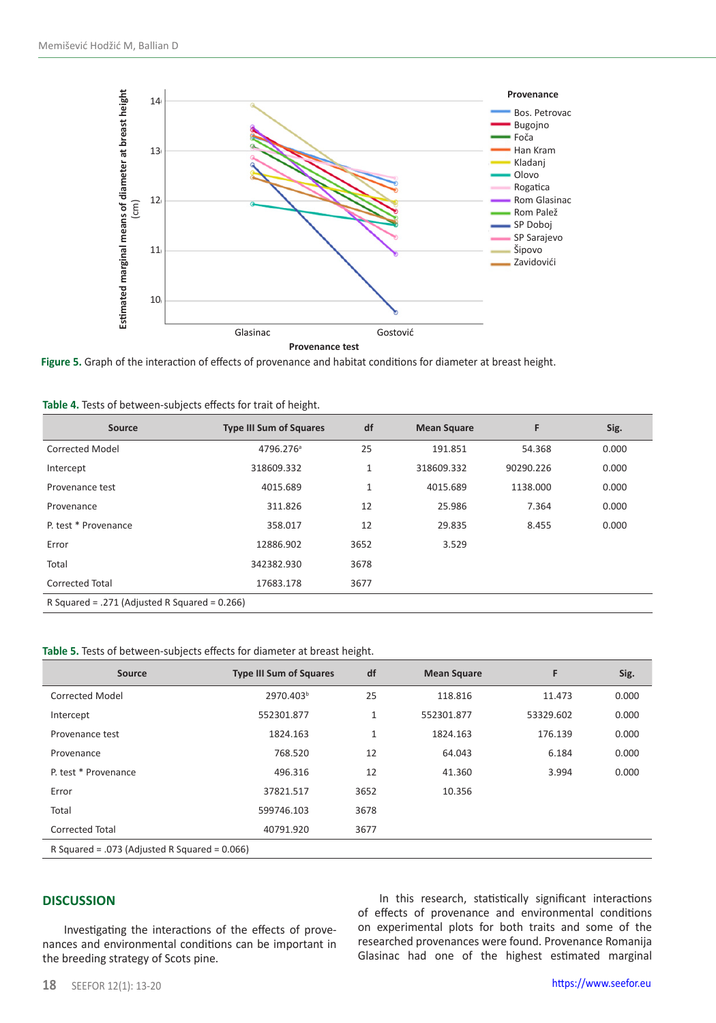

| Source                                        | <b>Type III Sum of Squares</b> | df           | <b>Mean Square</b> | F         | Sig.  |  |  |
|-----------------------------------------------|--------------------------------|--------------|--------------------|-----------|-------|--|--|
| Corrected Model                               | 4796.276 <sup>a</sup>          | 25           | 191.851            | 54.368    | 0.000 |  |  |
| Intercept                                     | 318609.332                     | $\mathbf{1}$ | 318609.332         | 90290.226 | 0.000 |  |  |
| Provenance test                               | 4015.689                       | $\mathbf{1}$ | 4015.689           | 1138.000  | 0.000 |  |  |
| Provenance                                    | 311.826                        | 12           | 25.986             | 7.364     | 0.000 |  |  |
| P. test * Provenance                          | 358.017                        | 12           | 29.835             | 8.455     | 0.000 |  |  |
| Error                                         | 12886.902                      | 3652         | 3.529              |           |       |  |  |
| Total                                         | 342382.930                     | 3678         |                    |           |       |  |  |
| <b>Corrected Total</b>                        | 17683.178                      | 3677         |                    |           |       |  |  |
| R Squared = .271 (Adjusted R Squared = 0.266) |                                |              |                    |           |       |  |  |

|  |  |  | Table 4. Tests of between-subjects effects for trait of height. |  |  |  |  |  |
|--|--|--|-----------------------------------------------------------------|--|--|--|--|--|
|--|--|--|-----------------------------------------------------------------|--|--|--|--|--|

# **Table 5.** Tests of between-subjects effects for diameter at breast height.

| Source                                           | <b>Type III Sum of Squares</b> | df           | <b>Mean Square</b> | F         | Sig.  |  |  |
|--------------------------------------------------|--------------------------------|--------------|--------------------|-----------|-------|--|--|
| Corrected Model                                  | 2970.403 <sup>b</sup>          | 25           | 118.816            | 11.473    | 0.000 |  |  |
| Intercept                                        | 552301.877                     | $\mathbf{1}$ | 552301.877         | 53329.602 | 0.000 |  |  |
| Provenance test                                  | 1824.163                       | $\mathbf{1}$ | 1824.163           | 176.139   | 0.000 |  |  |
| Provenance                                       | 768.520                        | 12           | 64.043             | 6.184     | 0.000 |  |  |
| P. test * Provenance                             | 496.316                        | 12           | 41.360             | 3.994     | 0.000 |  |  |
| Error                                            | 37821.517                      | 3652         | 10.356             |           |       |  |  |
| Total                                            | 599746.103                     | 3678         |                    |           |       |  |  |
| <b>Corrected Total</b>                           | 40791.920                      | 3677         |                    |           |       |  |  |
| R Squared = .073 (Adjusted R Squared = $0.066$ ) |                                |              |                    |           |       |  |  |

#### **DISCUSSION**

Investigating the interactions of the effects of provenances and environmental conditions can be important in the breeding strategy of Scots pine.

In this research, statistically significant interactions of effects of provenance and environmental conditions on experimental plots for both traits and some of the researched provenances were found. Provenance Romanija Glasinac had one of the highest estimated marginal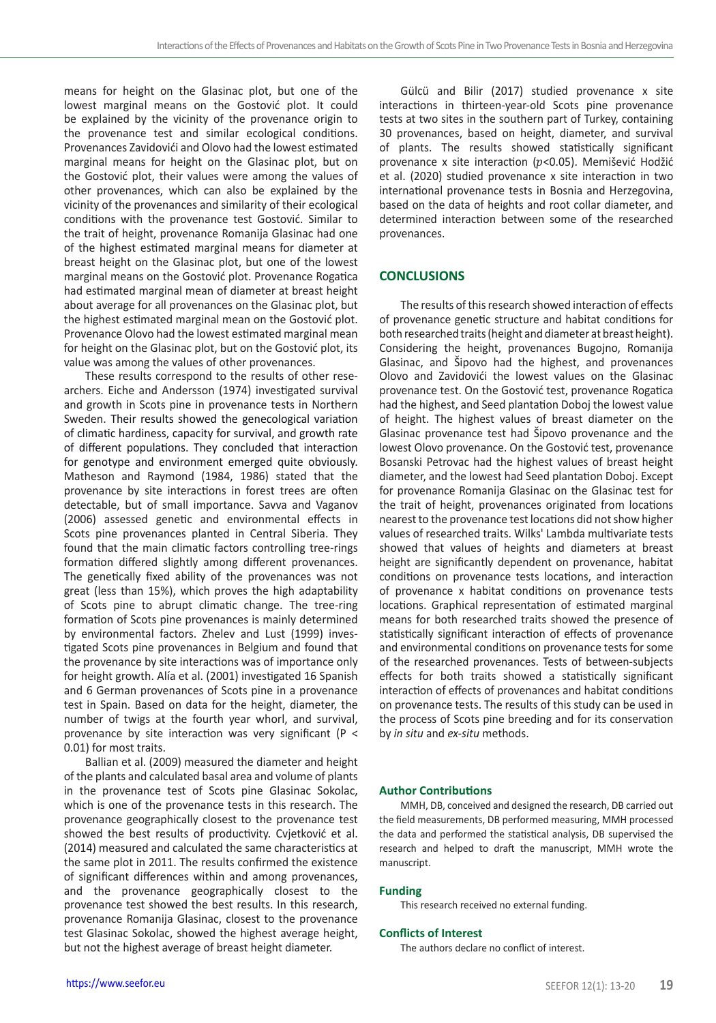means for height on the Glasinac plot, but one of the lowest marginal means on the Gostović plot. It could be explained by the vicinity of the provenance origin to the provenance test and similar ecological conditions. Provenances Zavidovići and Olovo had the lowest estimated marginal means for height on the Glasinac plot, but on the Gostović plot, their values were among the values of other provenances, which can also be explained by the vicinity of the provenances and similarity of their ecological conditions with the provenance test Gostović. Similar to the trait of height, provenance Romanija Glasinac had one of the highest estimated marginal means for diameter at breast height on the Glasinac plot, but one of the lowest marginal means on the Gostović plot. Provenance Rogatica had estimated marginal mean of diameter at breast height about average for all provenances on the Glasinac plot, but the highest estimated marginal mean on the Gostović plot. Provenance Olovo had the lowest estimated marginal mean for height on the Glasinac plot, but on the Gostović plot, its value was among the values of other provenances.

These results correspond to the results of other researchers. Eiche and Andersson (1974) investigated survival and growth in Scots pine in provenance tests in Northern Sweden. Their results showed the genecological variation of climatic hardiness, capacity for survival, and growth rate of different populations. They concluded that interaction for genotype and environment emerged quite obviously. Matheson and Raymond (1984, 1986) stated that the provenance by site interactions in forest trees are often detectable, but of small importance. Savva and Vaganov (2006) assessed genetic and environmental effects in Scots pine provenances planted in Central Siberia. They found that the main climatic factors controlling tree-rings formation differed slightly among different provenances. The genetically fixed ability of the provenances was not great (less than 15%), which proves the high adaptability of Scots pine to abrupt climatic change. The tree-ring formation of Scots pine provenances is mainly determined by environmental factors. Zhelev and Lust (1999) investigated Scots pine provenances in Belgium and found that the provenance by site interactions was of importance only for height growth. Alía et al. (2001) investigated 16 Spanish and 6 German provenances of Scots pine in a provenance test in Spain. Based on data for the height, diameter, the number of twigs at the fourth year whorl, and survival, provenance by site interaction was very significant (P < 0.01) for most traits.

Ballian et al. (2009) measured the diameter and height of the plants and calculated basal area and volume of plants in the provenance test of Scots pine Glasinac Sokolac, which is one of the provenance tests in this research. The provenance geographically closest to the provenance test showed the best results of productivity. Cvjetković et al. (2014) measured and calculated the same characteristics at the same plot in 2011. The results confirmed the existence of significant differences within and among provenances, and the provenance geographically closest to the provenance test showed the best results. In this research, provenance Romanija Glasinac, closest to the provenance test Glasinac Sokolac, showed the highest average height, but not the highest average of breast height diameter.

Gülcü and Bilir (2017) studied provenance x site interactions in thirteen-year-old Scots pine provenance tests at two sites in the southern part of Turkey, containing 30 provenances, based on height, diameter, and survival of plants. The results showed statistically significant provenance x site interaction ( $p$ <0.05). Memišević Hodžić et al. (2020) studied provenance x site interaction in two international provenance tests in Bosnia and Herzegovina, based on the data of heights and root collar diameter, and determined interaction between some of the researched provenances.

#### **CONCLUSIONS**

The results of this research showed interaction of effects of provenance genetic structure and habitat conditions for both researched traits (height and diameter at breast height). Considering the height, provenances Bugojno, Romanija Glasinac, and Šipovo had the highest, and provenances Olovo and Zavidovići the lowest values on the Glasinac provenance test. On the Gostović test, provenance Rogatica had the highest, and Seed plantation Doboj the lowest value of height. The highest values of breast diameter on the Glasinac provenance test had Šipovo provenance and the lowest Olovo provenance. On the Gostović test, provenance Bosanski Petrovac had the highest values of breast height diameter, and the lowest had Seed plantation Doboj. Except for provenance Romanija Glasinac on the Glasinac test for the trait of height, provenances originated from locations nearest to the provenance test locations did not show higher values of researched traits. Wilks' Lambda multivariate tests showed that values of heights and diameters at breast height are significantly dependent on provenance, habitat conditions on provenance tests locations, and interaction of provenance x habitat conditions on provenance tests locations. Graphical representation of estimated marginal means for both researched traits showed the presence of statistically significant interaction of effects of provenance and environmental conditions on provenance tests for some of the researched provenances. Tests of between-subjects effects for both traits showed a statistically significant interaction of effects of provenances and habitat conditions on provenance tests. The results of this study can be used in the process of Scots pine breeding and for its conservation by *in situ* and *ex-situ* methods.

#### **Author Contributions**

MMH, DB, conceived and designed the research, DB carried out the field measurements, DB performed measuring, MMH processed the data and performed the statistical analysis, DB supervised the research and helped to draft the manuscript, MMH wrote the manuscript.

#### **Funding**

This research received no external funding.

#### **Conflicts of Interest**

The authors declare no conflict of interest.